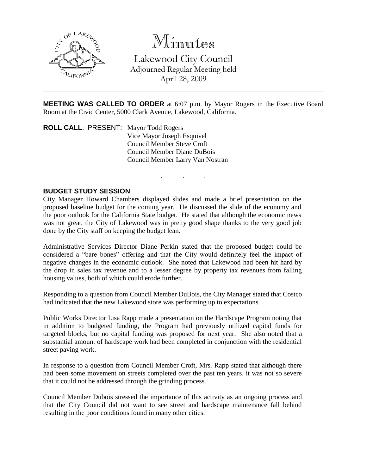

# Minutes

Lakewood City Council Adjourned Regular Meeting held April 28, 2009

**MEETING WAS CALLED TO ORDER** at 6:07 p.m. by Mayor Rogers in the Executive Board Room at the Civic Center, 5000 Clark Avenue, Lakewood, California.

. . .

**ROLL CALL**: PRESENT: Mayor Todd Rogers Vice Mayor Joseph Esquivel Council Member Steve Croft Council Member Diane DuBois Council Member Larry Van Nostran

## **BUDGET STUDY SESSION**

City Manager Howard Chambers displayed slides and made a brief presentation on the proposed baseline budget for the coming year. He discussed the slide of the economy and the poor outlook for the California State budget. He stated that although the economic news was not great, the City of Lakewood was in pretty good shape thanks to the very good job done by the City staff on keeping the budget lean.

Administrative Services Director Diane Perkin stated that the proposed budget could be considered a "bare bones" offering and that the City would definitely feel the impact of negative changes in the economic outlook. She noted that Lakewood had been hit hard by the drop in sales tax revenue and to a lesser degree by property tax revenues from falling housing values, both of which could erode further.

Responding to a question from Council Member DuBois, the City Manager stated that Costco had indicated that the new Lakewood store was performing up to expectations.

Public Works Director Lisa Rapp made a presentation on the Hardscape Program noting that in addition to budgeted funding, the Program had previously utilized capital funds for targeted blocks, but no capital funding was proposed for next year. She also noted that a substantial amount of hardscape work had been completed in conjunction with the residential street paving work.

In response to a question from Council Member Croft, Mrs. Rapp stated that although there had been some movement on streets completed over the past ten years, it was not so severe that it could not be addressed through the grinding process.

Council Member Dubois stressed the importance of this activity as an ongoing process and that the City Council did not want to see street and hardscape maintenance fall behind resulting in the poor conditions found in many other cities.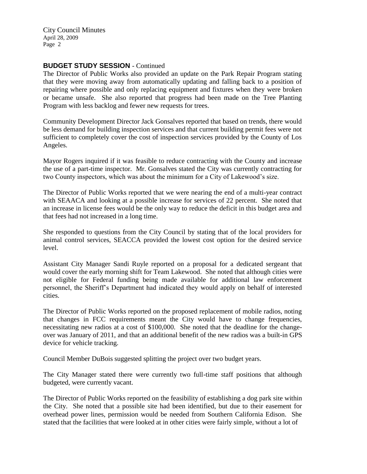City Council Minutes April 28, 2009 Page 2

## **BUDGET STUDY SESSION** - Continued

The Director of Public Works also provided an update on the Park Repair Program stating that they were moving away from automatically updating and falling back to a position of repairing where possible and only replacing equipment and fixtures when they were broken or became unsafe. She also reported that progress had been made on the Tree Planting Program with less backlog and fewer new requests for trees.

Community Development Director Jack Gonsalves reported that based on trends, there would be less demand for building inspection services and that current building permit fees were not sufficient to completely cover the cost of inspection services provided by the County of Los Angeles.

Mayor Rogers inquired if it was feasible to reduce contracting with the County and increase the use of a part-time inspector. Mr. Gonsalves stated the City was currently contracting for two County inspectors, which was about the minimum for a City of Lakewood's size.

The Director of Public Works reported that we were nearing the end of a multi-year contract with SEAACA and looking at a possible increase for services of 22 percent. She noted that an increase in license fees would be the only way to reduce the deficit in this budget area and that fees had not increased in a long time.

She responded to questions from the City Council by stating that of the local providers for animal control services, SEACCA provided the lowest cost option for the desired service level.

Assistant City Manager Sandi Ruyle reported on a proposal for a dedicated sergeant that would cover the early morning shift for Team Lakewood. She noted that although cities were not eligible for Federal funding being made available for additional law enforcement personnel, the Sheriff's Department had indicated they would apply on behalf of interested cities.

The Director of Public Works reported on the proposed replacement of mobile radios, noting that changes in FCC requirements meant the City would have to change frequencies, necessitating new radios at a cost of \$100,000. She noted that the deadline for the changeover was January of 2011, and that an additional benefit of the new radios was a built-in GPS device for vehicle tracking.

Council Member DuBois suggested splitting the project over two budget years.

The City Manager stated there were currently two full-time staff positions that although budgeted, were currently vacant.

The Director of Public Works reported on the feasibility of establishing a dog park site within the City. She noted that a possible site had been identified, but due to their easement for overhead power lines, permission would be needed from Southern California Edison. She stated that the facilities that were looked at in other cities were fairly simple, without a lot of